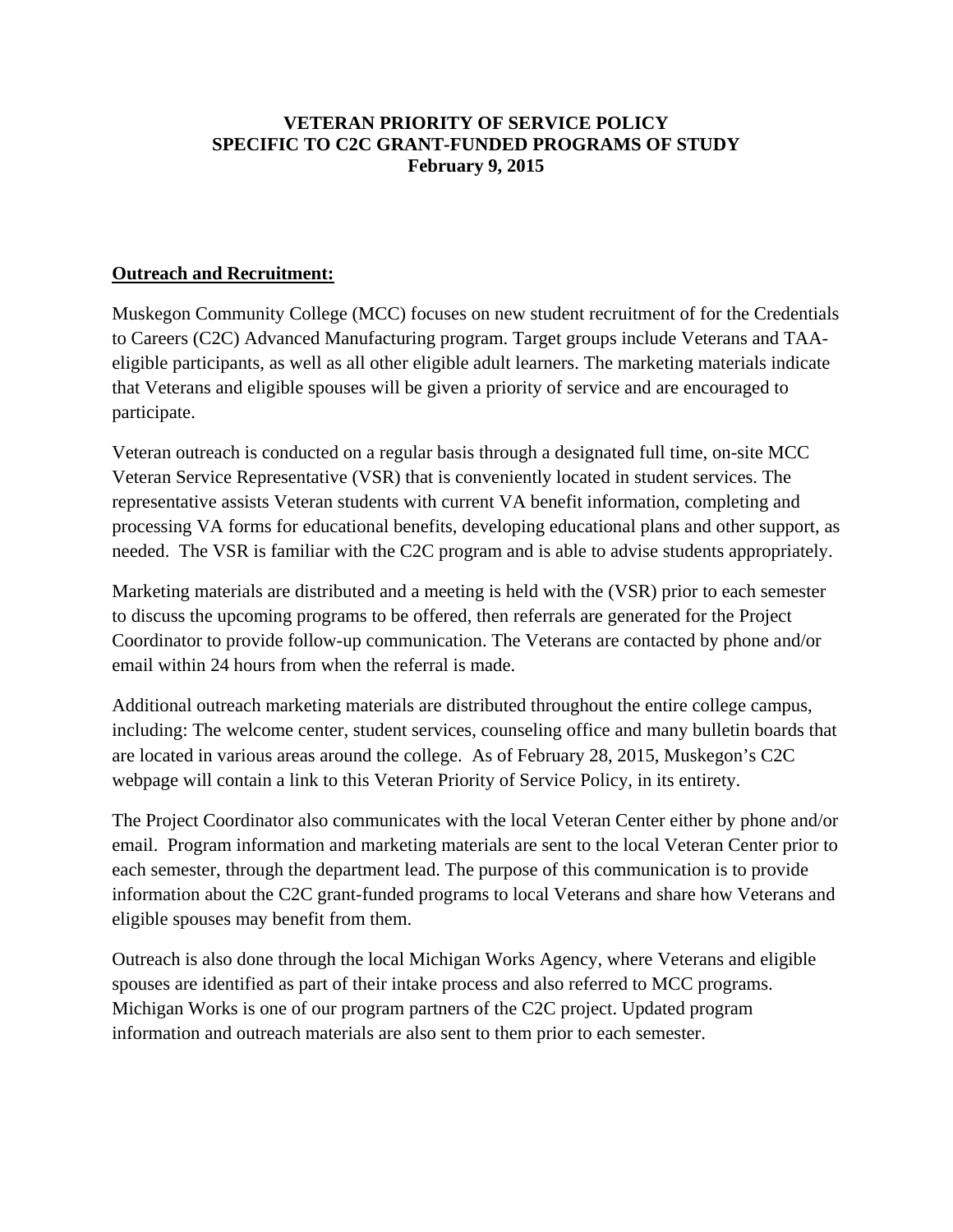### **VETERAN PRIORITY OF SERVICE POLICY SPECIFIC TO C2C GRANT-FUNDED PROGRAMS OF STUDY February 9, 2015**

#### **Outreach and Recruitment:**

Muskegon Community College (MCC) focuses on new student recruitment of for the Credentials to Careers (C2C) Advanced Manufacturing program. Target groups include Veterans and TAAeligible participants, as well as all other eligible adult learners. The marketing materials indicate that Veterans and eligible spouses will be given a priority of service and are encouraged to participate.

Veteran outreach is conducted on a regular basis through a designated full time, on-site MCC Veteran Service Representative (VSR) that is conveniently located in student services. The representative assists Veteran students with current VA benefit information, completing and processing VA forms for educational benefits, developing educational plans and other support, as needed. The VSR is familiar with the C2C program and is able to advise students appropriately.

Marketing materials are distributed and a meeting is held with the (VSR) prior to each semester to discuss the upcoming programs to be offered, then referrals are generated for the Project Coordinator to provide follow-up communication. The Veterans are contacted by phone and/or email within 24 hours from when the referral is made.

Additional outreach marketing materials are distributed throughout the entire college campus, including: The welcome center, student services, counseling office and many bulletin boards that are located in various areas around the college. As of February 28, 2015, Muskegon's C2C webpage will contain a link to this Veteran Priority of Service Policy, in its entirety.

The Project Coordinator also communicates with the local Veteran Center either by phone and/or email. Program information and marketing materials are sent to the local Veteran Center prior to each semester, through the department lead. The purpose of this communication is to provide information about the C2C grant-funded programs to local Veterans and share how Veterans and eligible spouses may benefit from them.

Outreach is also done through the local Michigan Works Agency, where Veterans and eligible spouses are identified as part of their intake process and also referred to MCC programs. Michigan Works is one of our program partners of the C2C project. Updated program information and outreach materials are also sent to them prior to each semester.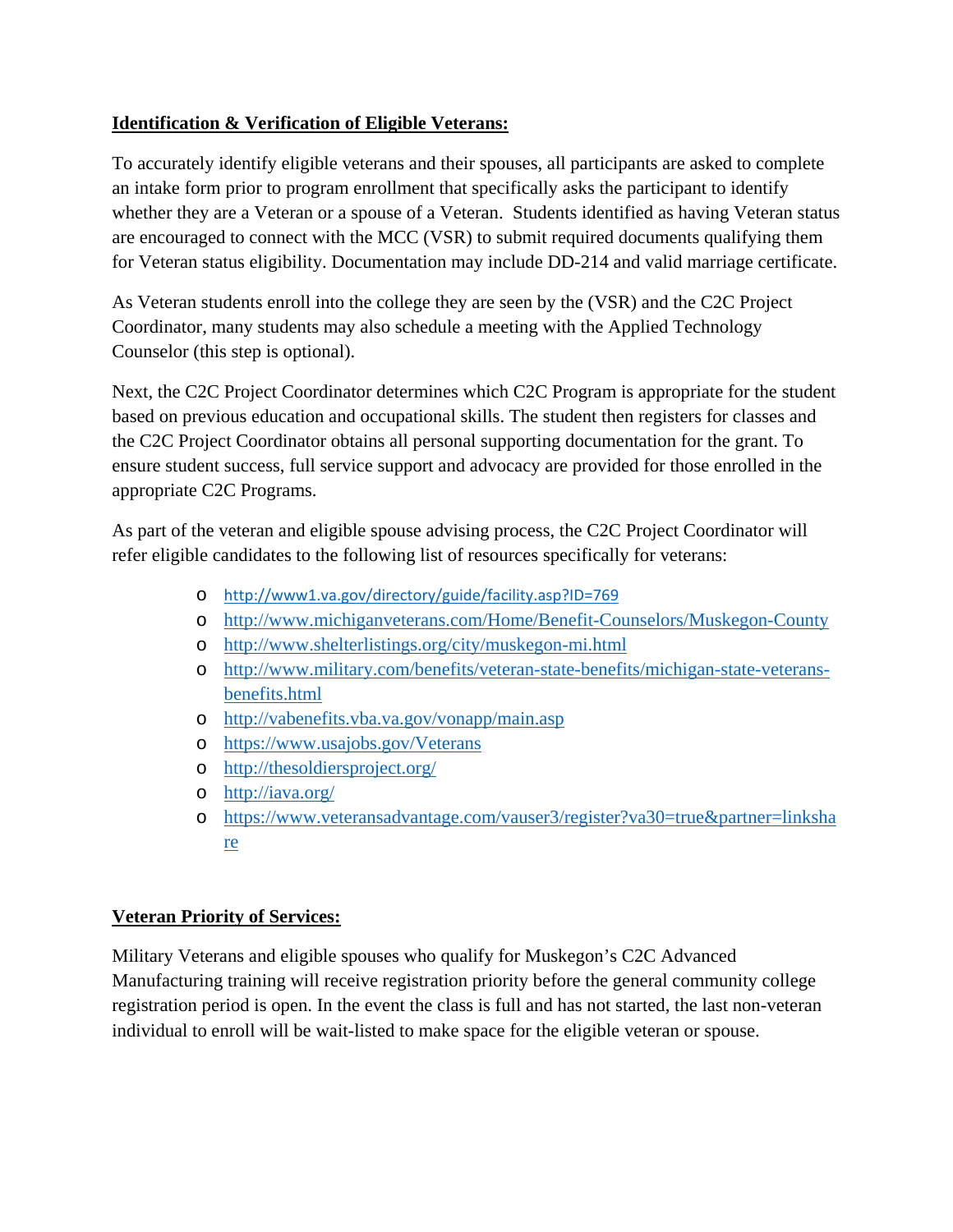# **Identification & Verification of Eligible Veterans:**

To accurately identify eligible veterans and their spouses, all participants are asked to complete an intake form prior to program enrollment that specifically asks the participant to identify whether they are a Veteran or a spouse of a Veteran. Students identified as having Veteran status are encouraged to connect with the MCC (VSR) to submit required documents qualifying them for Veteran status eligibility. Documentation may include DD-214 and valid marriage certificate.

As Veteran students enroll into the college they are seen by the (VSR) and the C2C Project Coordinator, many students may also schedule a meeting with the Applied Technology Counselor (this step is optional).

Next, the C2C Project Coordinator determines which C2C Program is appropriate for the student based on previous education and occupational skills. The student then registers for classes and the C2C Project Coordinator obtains all personal supporting documentation for the grant. To ensure student success, full service support and advocacy are provided for those enrolled in the appropriate C2C Programs.

As part of the veteran and eligible spouse advising process, the C2C Project Coordinator will refer eligible candidates to the following list of resources specifically for veterans:

- o http://www1.va.gov/directory/guide/facility.asp?ID=769
- o http://www.michiganveterans.com/Home/Benefit-Counselors/Muskegon-County
- o http://www.shelterlistings.org/city/muskegon-mi.html
- o http://www.military.com/benefits/veteran-state-benefits/michigan-state-veteransbenefits.html
- o http://vabenefits.vba.va.gov/vonapp/main.asp
- o https://www.usajobs.gov/Veterans
- o http://thesoldiersproject.org/
- o http://iava.org/
- o https://www.veteransadvantage.com/vauser3/register?va30=true&partner=linksha re

### **Veteran Priority of Services:**

Military Veterans and eligible spouses who qualify for Muskegon's C2C Advanced Manufacturing training will receive registration priority before the general community college registration period is open. In the event the class is full and has not started, the last non-veteran individual to enroll will be wait-listed to make space for the eligible veteran or spouse.